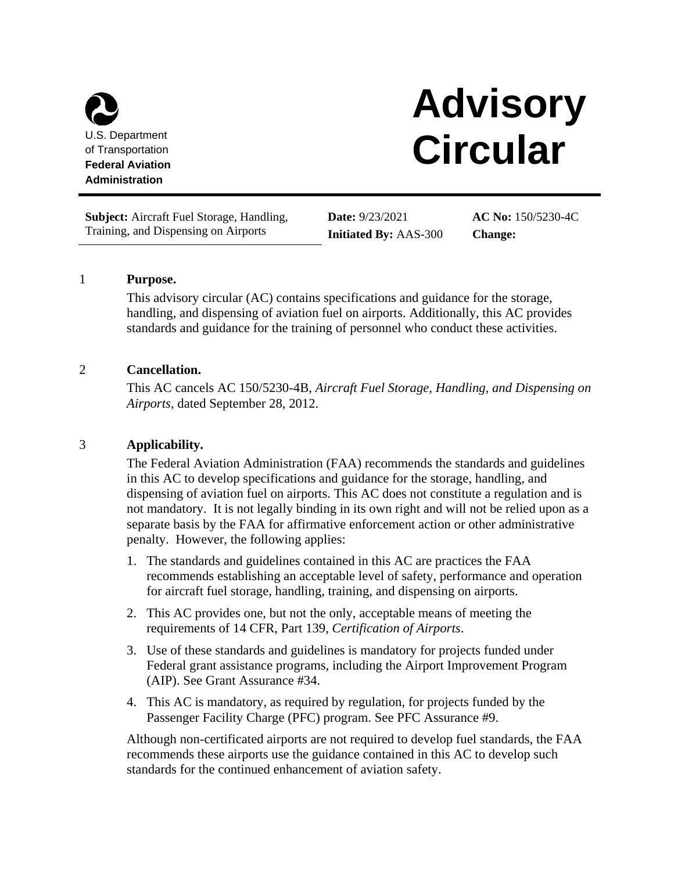

# **Advisory Circular**

**Subject:** Aircraft Fuel Storage, Handling, Training, and Dispensing on Airports

**Date:** 9/23/2021 **Initiated By:** AAS-300 **AC No:** 150/5230-4C **Change:** 

### 1 **Purpose.**

This advisory circular (AC) contains specifications and guidance for the storage, handling, and dispensing of aviation fuel on airports. Additionally, this AC provides standards and guidance for the training of personnel who conduct these activities.

### 2 **Cancellation.**

This AC cancels AC 150/5230-4B, *Aircraft Fuel Storage, Handling, and Dispensing on Airports*, dated September 28, 2012.

### 3 **Applicability.**

The Federal Aviation Administration (FAA) recommends the standards and guidelines in this AC to develop specifications and guidance for the storage, handling, and dispensing of aviation fuel on airports. This AC does not constitute a regulation and is not mandatory. It is not legally binding in its own right and will not be relied upon as a separate basis by the FAA for affirmative enforcement action or other administrative penalty. However, the following applies:

- 1. The standards and guidelines contained in this AC are practices the FAA recommends establishing an acceptable level of safety, performance and operation for aircraft fuel storage, handling, training, and dispensing on airports.
- 2. This AC provides one, but not the only, acceptable means of meeting the requirements of 14 CFR, Part 139, *Certification of Airports*.
- 3. Use of these standards and guidelines is mandatory for projects funded under Federal grant assistance programs, including the Airport Improvement Program (AIP). See Grant Assurance #34.
- 4. This AC is mandatory, as required by regulation, for projects funded by the Passenger Facility Charge (PFC) program. See PFC Assurance #9.

Although non-certificated airports are not required to develop fuel standards, the FAA recommends these airports use the guidance contained in this AC to develop such standards for the continued enhancement of aviation safety.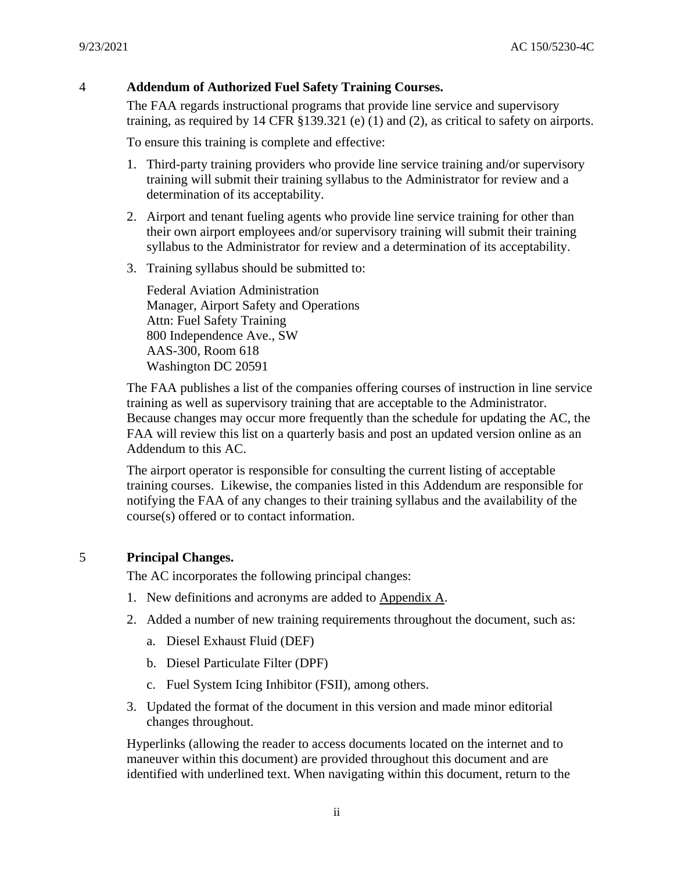### 4 **Addendum of Authorized Fuel Safety Training Courses.**

The FAA regards instructional programs that provide line service and supervisory training, as required by 14 CFR §139.321 (e) (1) and (2), as critical to safety on airports.

To ensure this training is complete and effective:

- 1. Third-party training providers who provide line service training and/or supervisory training will submit their training syllabus to the Administrator for review and a determination of its acceptability.
- 2. Airport and tenant fueling agents who provide line service training for other than their own airport employees and/or supervisory training will submit their training syllabus to the Administrator for review and a determination of its acceptability.
- 3. Training syllabus should be submitted to:

Federal Aviation Administration Manager, Airport Safety and Operations Attn: Fuel Safety Training 800 Independence Ave., SW AAS-300, Room 618 Washington DC 20591

The FAA publishes a list of the companies offering courses of instruction in line service training as well as supervisory training that are acceptable to the Administrator. Because changes may occur more frequently than the schedule for updating the AC, the FAA will review this list on a quarterly basis and post an updated version online as an Addendum to this AC.

The airport operator is responsible for consulting the current listing of acceptable training courses. Likewise, the companies listed in this Addendum are responsible for notifying the FAA of any changes to their training syllabus and the availability of the course(s) offered or to contact information.

# 5 **Principal Changes.**

The AC incorporates the following principal changes:

- 1. New definitions and acronyms are added to [Appendix](#page-24-0) A.
- 2. Added a number of new training requirements throughout the document, such as:
	- a. Diesel Exhaust Fluid (DEF)
	- b. Diesel Particulate Filter (DPF)
	- c. Fuel System Icing Inhibitor (FSII), among others.
- 3. Updated the format of the document in this version and made minor editorial changes throughout.

Hyperlinks (allowing the reader to access documents located on the internet and to maneuver within this document) are provided throughout this document and are identified with underlined text. When navigating within this document, return to the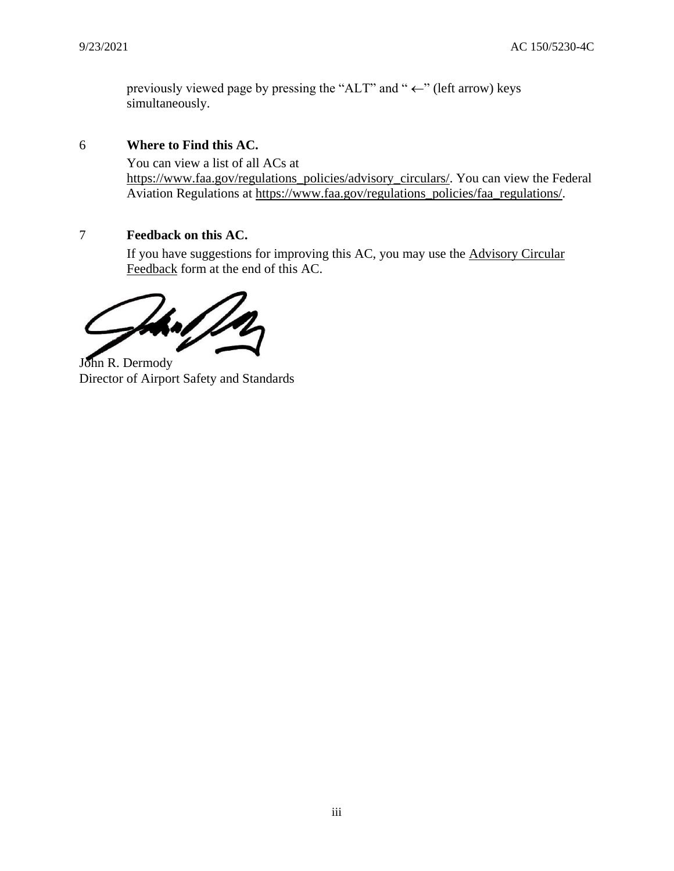previously viewed page by pressing the "ALT" and " $\leftarrow$ " (left arrow) keys simultaneously.

### 6 **Where to Find this AC.**

You can view a list of all ACs at [https://www.faa.gov/regulations\\_policies/advisory\\_circulars/.](https://www.faa.gov/regulations_policies/advisory_circulars/) You can view the Federal Aviation Regulations at [https://www.faa.gov/regulations\\_policies/faa\\_regulations/.](https://www.faa.gov/regulations_policies/faa_regulations/)

# 7 **Feedback on this AC.**

If you have suggestions for improving this AC, you may use the [Advisory Circular](#page-28-0)  [Feedback](#page-28-0) form at the end of this AC.

John R. Dermody Director of Airport Safety and Standards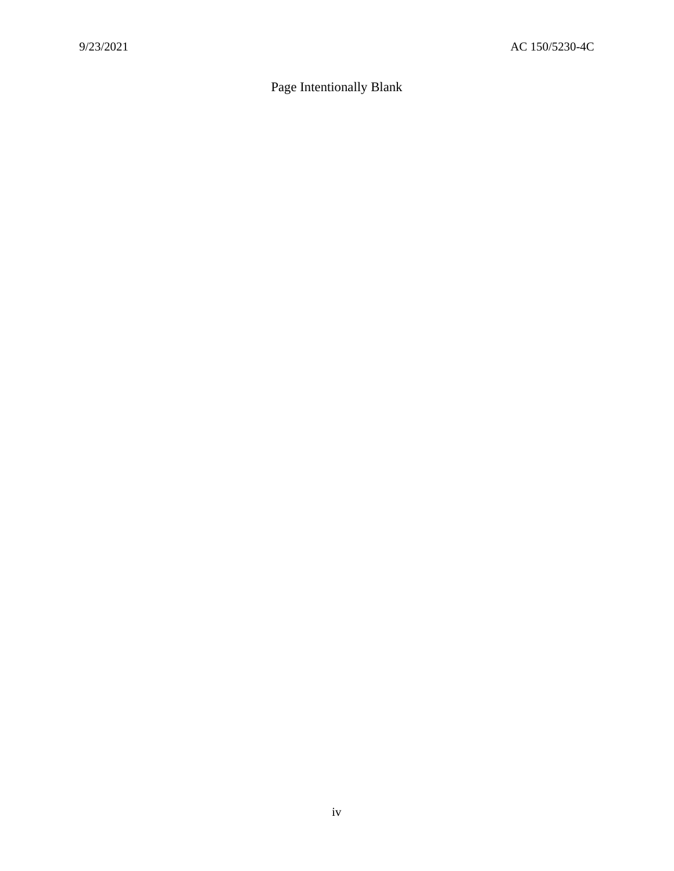# Page Intentionally Blank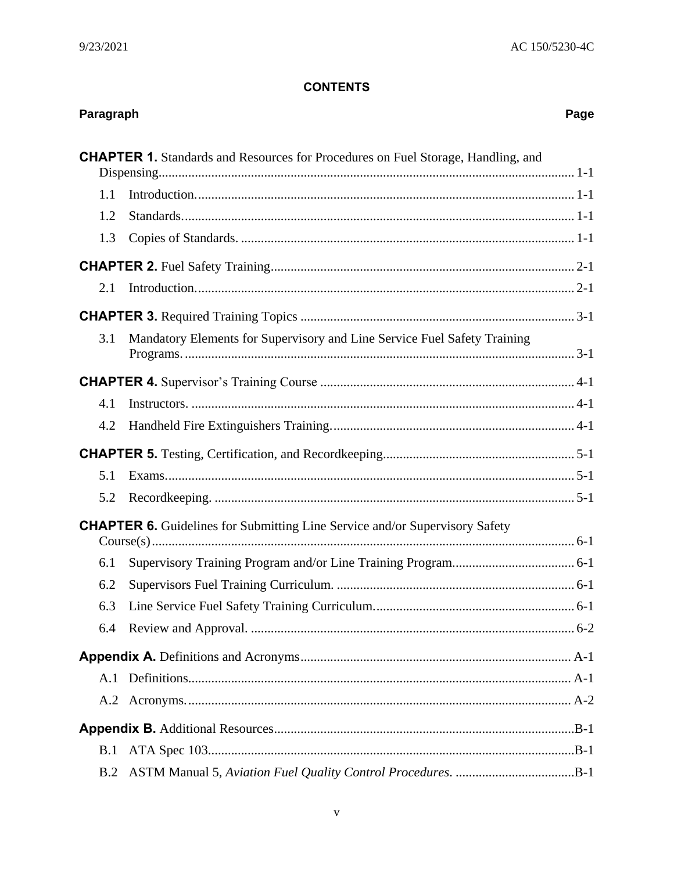# **CONTENTS**

# Paragraph

# Page

| <b>CHAPTER 1.</b> Standards and Resources for Procedures on Fuel Storage, Handling, and |                                                                          |  |  |  |
|-----------------------------------------------------------------------------------------|--------------------------------------------------------------------------|--|--|--|
|                                                                                         |                                                                          |  |  |  |
| 1.1                                                                                     |                                                                          |  |  |  |
| 1.2                                                                                     |                                                                          |  |  |  |
| 1.3                                                                                     |                                                                          |  |  |  |
|                                                                                         |                                                                          |  |  |  |
| 2.1                                                                                     |                                                                          |  |  |  |
|                                                                                         |                                                                          |  |  |  |
| 3.1                                                                                     | Mandatory Elements for Supervisory and Line Service Fuel Safety Training |  |  |  |
|                                                                                         |                                                                          |  |  |  |
| 4.1                                                                                     |                                                                          |  |  |  |
| 4.2                                                                                     |                                                                          |  |  |  |
|                                                                                         |                                                                          |  |  |  |
| 5.1                                                                                     |                                                                          |  |  |  |
| 5.2                                                                                     |                                                                          |  |  |  |
| <b>CHAPTER 6.</b> Guidelines for Submitting Line Service and/or Supervisory Safety      |                                                                          |  |  |  |
| 6.1                                                                                     |                                                                          |  |  |  |
| 6.2                                                                                     |                                                                          |  |  |  |
| 6.3                                                                                     |                                                                          |  |  |  |
| 6.4                                                                                     |                                                                          |  |  |  |
|                                                                                         |                                                                          |  |  |  |
| A.1                                                                                     |                                                                          |  |  |  |
|                                                                                         |                                                                          |  |  |  |
|                                                                                         |                                                                          |  |  |  |
| B.1                                                                                     |                                                                          |  |  |  |
| B.2                                                                                     |                                                                          |  |  |  |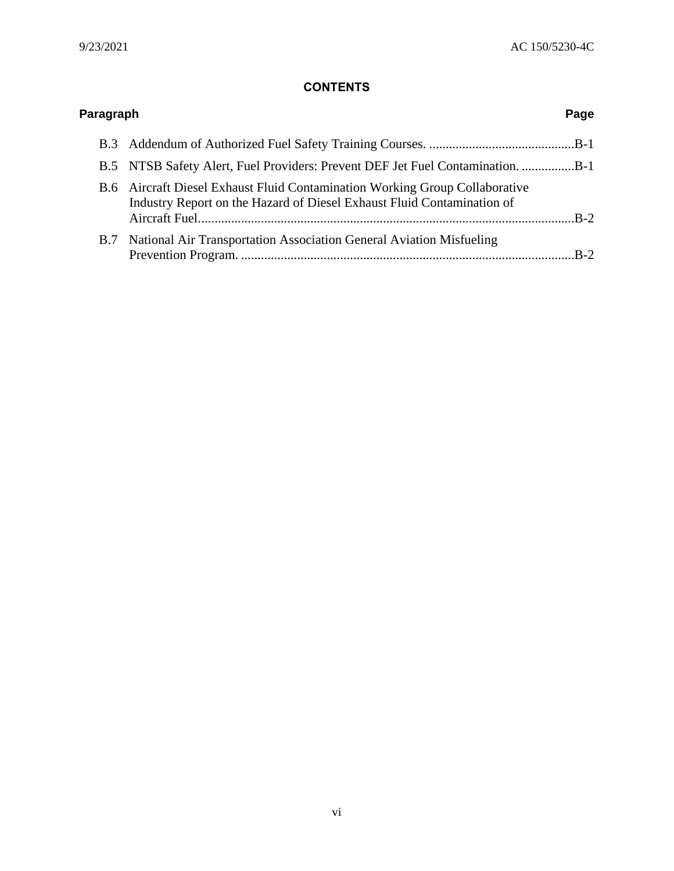# **CONTENTS**

| Paragraph |                                                                                                                                                       |  |
|-----------|-------------------------------------------------------------------------------------------------------------------------------------------------------|--|
|           |                                                                                                                                                       |  |
|           | B.5 NTSB Safety Alert, Fuel Providers: Prevent DEF Jet Fuel Contamination. B-1                                                                        |  |
|           | B.6 Aircraft Diesel Exhaust Fluid Contamination Working Group Collaborative<br>Industry Report on the Hazard of Diesel Exhaust Fluid Contamination of |  |
|           | B.7 National Air Transportation Association General Aviation Misfueling                                                                               |  |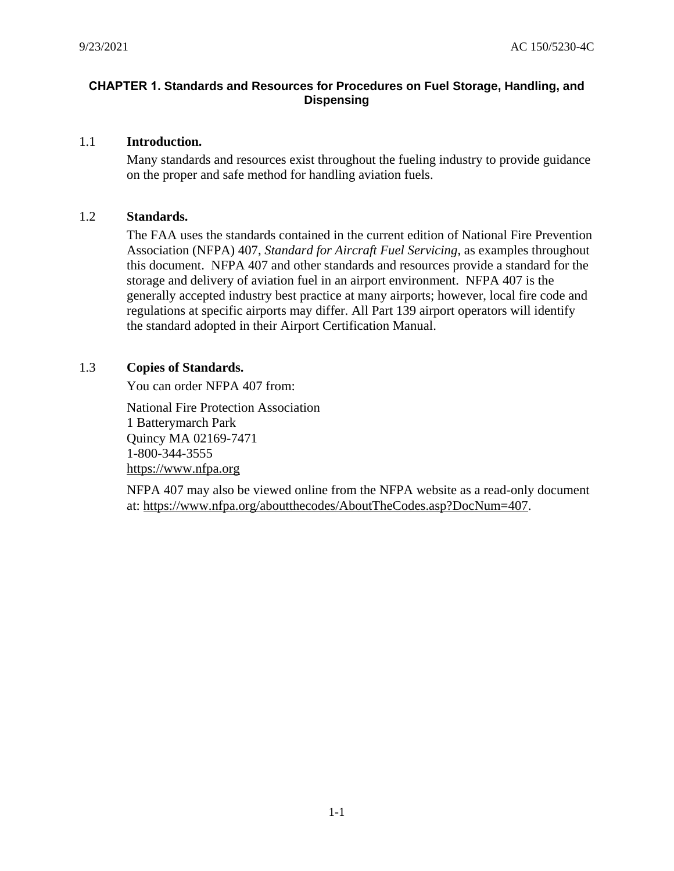# <span id="page-6-0"></span>**CHAPTER 1. Standards and Resources for Procedures on Fuel Storage, Handling, and Dispensing**

# <span id="page-6-1"></span>1.1 **Introduction.**

Many standards and resources exist throughout the fueling industry to provide guidance on the proper and safe method for handling aviation fuels.

### <span id="page-6-2"></span>1.2 **Standards.**

The FAA uses the standards contained in the current edition of National Fire Prevention Association (NFPA) 407, *Standard for Aircraft Fuel Servicing*, as examples throughout this document. NFPA 407 and other standards and resources provide a standard for the storage and delivery of aviation fuel in an airport environment. NFPA 407 is the generally accepted industry best practice at many airports; however, local fire code and regulations at specific airports may differ. All Part 139 airport operators will identify the standard adopted in their Airport Certification Manual.

# <span id="page-6-3"></span>1.3 **Copies of Standards.**

You can order NFPA 407 from:

National Fire Protection Association 1 Batterymarch Park Quincy MA 02169-7471 1-800-344-3555 [https://www.nfpa.org](https://www.nfpa.org/) 

NFPA 407 may also be viewed online from the NFPA website as a read-only document at: [https://www.nfpa.org/aboutthecodes/AboutTheCodes.asp?DocNum=407.](https://www.nfpa.org/aboutthecodes/AboutTheCodes.asp?DocNum=407)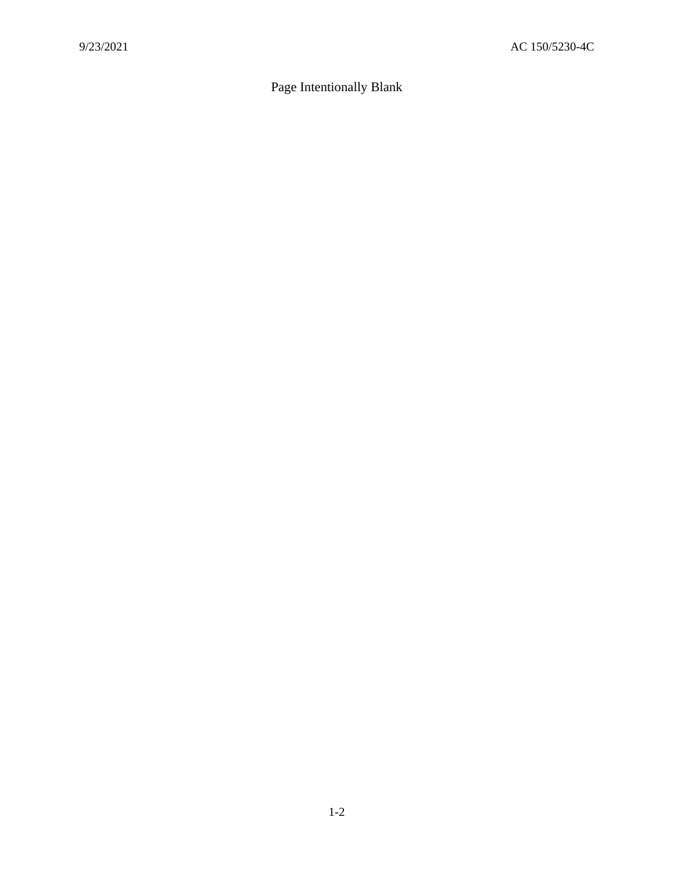# Page Intentionally Blank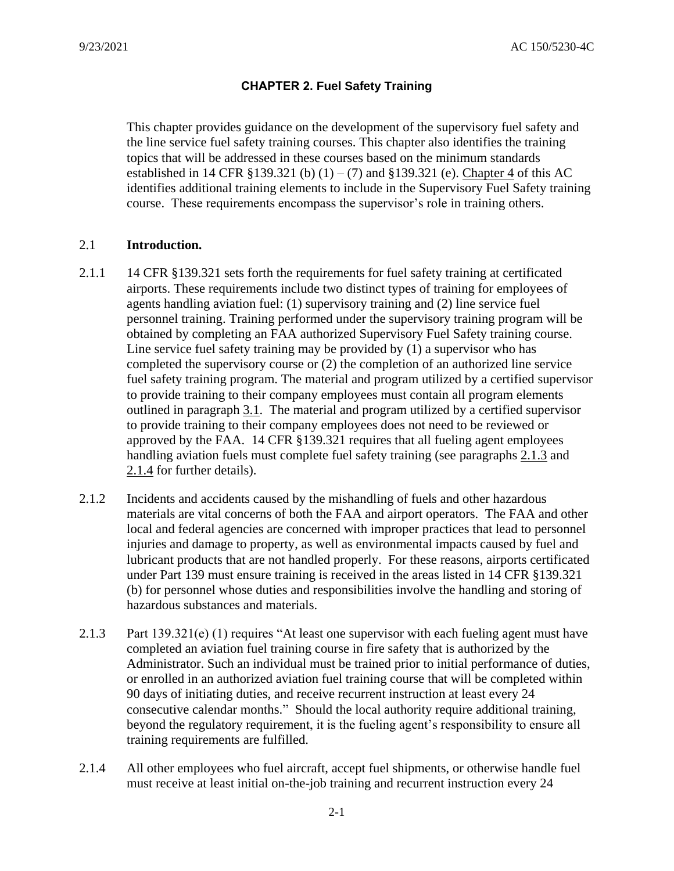### **CHAPTER 2. Fuel Safety Training**

<span id="page-8-0"></span>This chapter provides guidance on the development of the supervisory fuel safety and the line service fuel safety training courses. This chapter also identifies the training topics that will be addressed in these courses based on the minimum standards established in 14 CFR §139.321 (b)  $(1) - (7)$  and §139.321 (e). [Chapter](#page-18-0) 4 of this AC identifies additional training elements to include in the Supervisory Fuel Safety training course. These requirements encompass the supervisor's role in training others.

### <span id="page-8-1"></span>2.1 **Introduction.**

- 2.1.1 14 CFR §139.321 sets forth the requirements for fuel safety training at certificated airports. These requirements include two distinct types of training for employees of agents handling aviation fuel: (1) supervisory training and (2) line service fuel personnel training. Training performed under the supervisory training program will be obtained by completing an FAA authorized Supervisory Fuel Safety training course. Line service fuel safety training may be provided by (1) a supervisor who has completed the supervisory course or (2) the completion of an authorized line service fuel safety training program. The material and program utilized by a certified supervisor to provide training to their company employees must contain all program elements outlined in paragraph [3.1.](#page-12-1) The material and program utilized by a certified supervisor to provide training to their company employees does not need to be reviewed or approved by the FAA. 14 CFR §139.321 requires that all fueling agent employees handling aviation fuels must complete fuel safety training (see paragraphs [2.1.3](#page-8-2) and [2.1.4](#page-8-3) for further details).
- 2.1.2 Incidents and accidents caused by the mishandling of fuels and other hazardous materials are vital concerns of both the FAA and airport operators. The FAA and other local and federal agencies are concerned with improper practices that lead to personnel injuries and damage to property, as well as environmental impacts caused by fuel and lubricant products that are not handled properly. For these reasons, airports certificated under Part 139 must ensure training is received in the areas listed in 14 CFR §139.321 (b) for personnel whose duties and responsibilities involve the handling and storing of hazardous substances and materials.
- <span id="page-8-2"></span>2.1.3 Part 139.321(e) (1) requires "At least one supervisor with each fueling agent must have completed an aviation fuel training course in fire safety that is authorized by the Administrator. Such an individual must be trained prior to initial performance of duties, or enrolled in an authorized aviation fuel training course that will be completed within 90 days of initiating duties, and receive recurrent instruction at least every 24 consecutive calendar months." Should the local authority require additional training, beyond the regulatory requirement, it is the fueling agent's responsibility to ensure all training requirements are fulfilled.
- <span id="page-8-3"></span>2.1.4 All other employees who fuel aircraft, accept fuel shipments, or otherwise handle fuel must receive at least initial on-the-job training and recurrent instruction every 24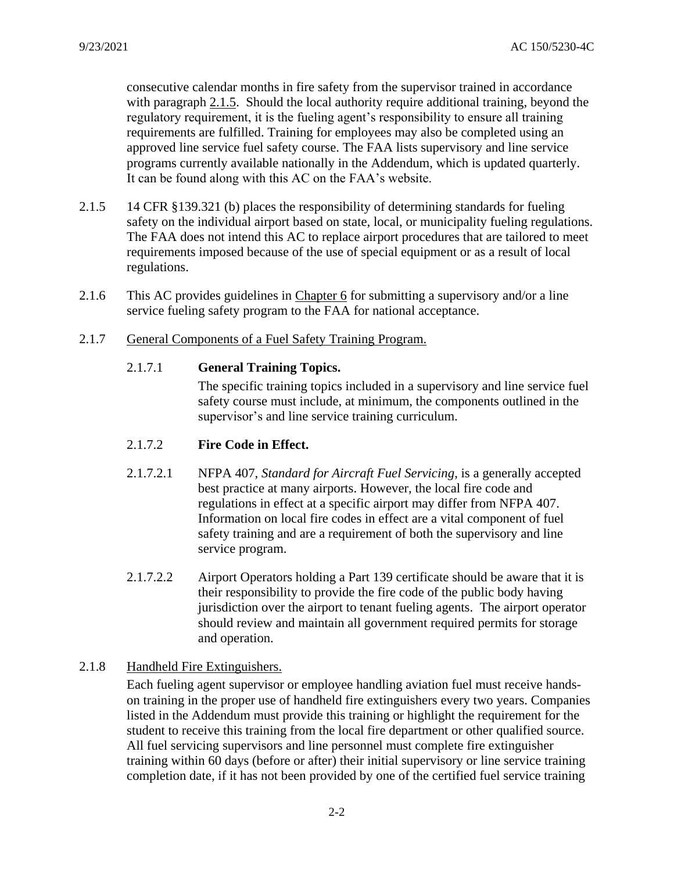consecutive calendar months in fire safety from the supervisor trained in accordance with paragraph [2.1.5.](#page-9-0) Should the local authority require additional training, beyond the regulatory requirement, it is the fueling agent's responsibility to ensure all training requirements are fulfilled. Training for employees may also be completed using an approved line service fuel safety course. The FAA lists supervisory and line service programs currently available nationally in the Addendum, which is updated quarterly. It can be found along with this AC on the FAA's website.

- <span id="page-9-0"></span>2.1.5 14 CFR §139.321 (b) places the responsibility of determining standards for fueling safety on the individual airport based on state, local, or municipality fueling regulations. The FAA does not intend this AC to replace airport procedures that are tailored to meet requirements imposed because of the use of special equipment or as a result of local regulations.
- 2.1.6 This AC provides guidelines in [Chapter](#page-22-0) 6 for submitting a supervisory and/or a line service fueling safety program to the FAA for national acceptance.
- 2.1.7 General Components of a Fuel Safety Training Program.

#### 2.1.7.1 **General Training Topics.**

The specific training topics included in a supervisory and line service fuel safety course must include, at minimum, the components outlined in the supervisor's and line service training curriculum.

### 2.1.7.2 **Fire Code in Effect.**

- 2.1.7.2.1 NFPA 407, *Standard for Aircraft Fuel Servicing*, is a generally accepted best practice at many airports. However, the local fire code and regulations in effect at a specific airport may differ from NFPA 407. Information on local fire codes in effect are a vital component of fuel safety training and are a requirement of both the supervisory and line service program.
- 2.1.7.2.2 Airport Operators holding a Part 139 certificate should be aware that it is their responsibility to provide the fire code of the public body having jurisdiction over the airport to tenant fueling agents. The airport operator should review and maintain all government required permits for storage and operation.

# 2.1.8 Handheld Fire Extinguishers.

Each fueling agent supervisor or employee handling aviation fuel must receive handson training in the proper use of handheld fire extinguishers every two years. Companies listed in the Addendum must provide this training or highlight the requirement for the student to receive this training from the local fire department or other qualified source. All fuel servicing supervisors and line personnel must complete fire extinguisher training within 60 days (before or after) their initial supervisory or line service training completion date, if it has not been provided by one of the certified fuel service training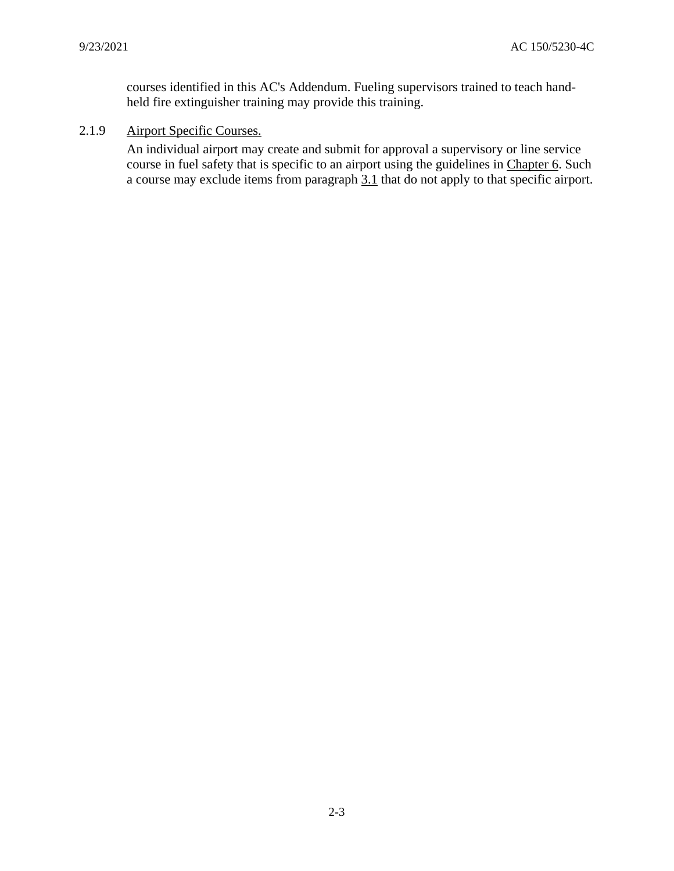courses identified in this AC's Addendum. Fueling supervisors trained to teach handheld fire extinguisher training may provide this training.

# 2.1.9 Airport Specific Courses.

An individual airport may create and submit for approval a supervisory or line service course in fuel safety that is specific to an airport using the guidelines in [Chapter](#page-22-0) 6. Such a course may exclude items from paragraph [3.1](#page-12-1) that do not apply to that specific airport.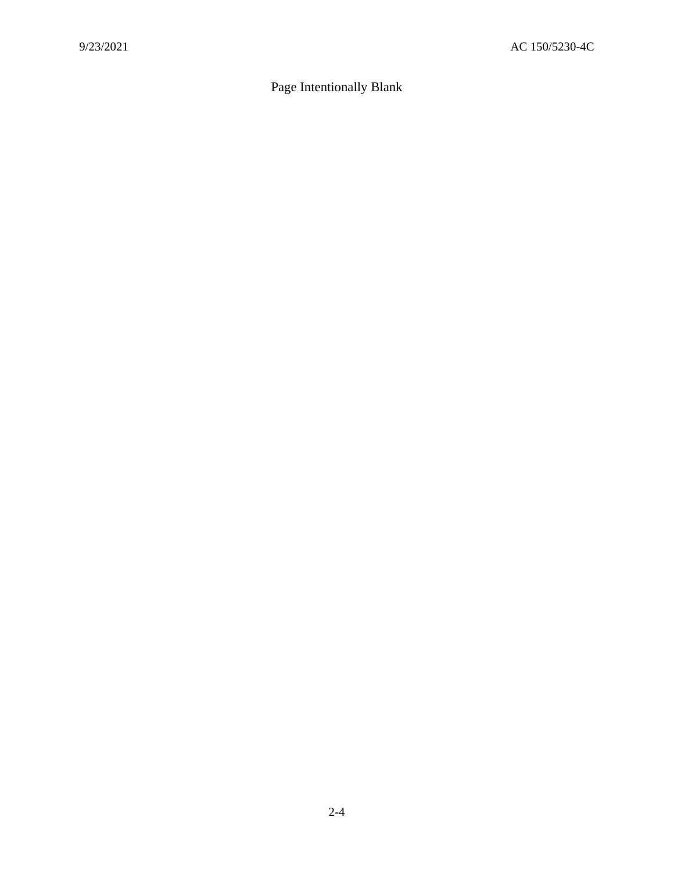# Page Intentionally Blank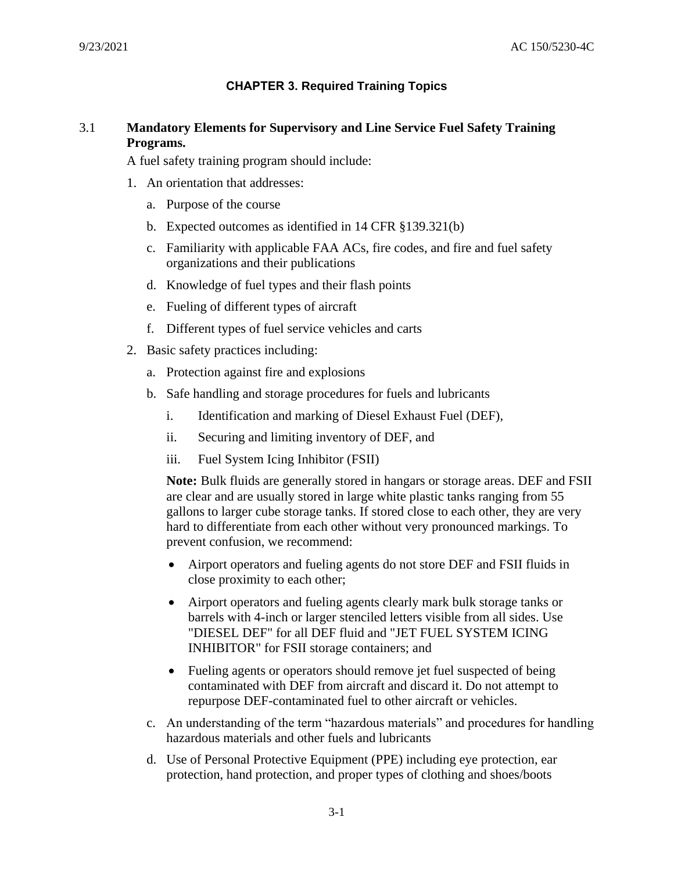# **CHAPTER 3. Required Training Topics**

# <span id="page-12-1"></span><span id="page-12-0"></span>3.1 **Mandatory Elements for Supervisory and Line Service Fuel Safety Training Programs.**

A fuel safety training program should include:

- 1. An orientation that addresses:
	- a. Purpose of the course
	- b. Expected outcomes as identified in 14 CFR §139.321(b)
	- c. Familiarity with applicable FAA ACs, fire codes, and fire and fuel safety organizations and their publications
	- d. Knowledge of fuel types and their flash points
	- e. Fueling of different types of aircraft
	- f. Different types of fuel service vehicles and carts
- 2. Basic safety practices including:
	- a. Protection against fire and explosions
	- b. Safe handling and storage procedures for fuels and lubricants
		- i. Identification and marking of Diesel Exhaust Fuel (DEF),
		- ii. Securing and limiting inventory of DEF, and
		- iii. Fuel System Icing Inhibitor (FSII)

**Note:** Bulk fluids are generally stored in hangars or storage areas. DEF and FSII are clear and are usually stored in large white plastic tanks ranging from 55 gallons to larger cube storage tanks. If stored close to each other, they are very hard to differentiate from each other without very pronounced markings. To prevent confusion, we recommend:

- Airport operators and fueling agents do not store DEF and FSII fluids in close proximity to each other;
- Airport operators and fueling agents clearly mark bulk storage tanks or barrels with 4-inch or larger stenciled letters visible from all sides. Use "DIESEL DEF" for all DEF fluid and "JET FUEL SYSTEM ICING INHIBITOR" for FSII storage containers; and
- Fueling agents or operators should remove jet fuel suspected of being contaminated with DEF from aircraft and discard it. Do not attempt to repurpose DEF-contaminated fuel to other aircraft or vehicles.
- c. An understanding of the term "hazardous materials" and procedures for handling hazardous materials and other fuels and lubricants
- d. Use of Personal Protective Equipment (PPE) including eye protection, ear protection, hand protection, and proper types of clothing and shoes/boots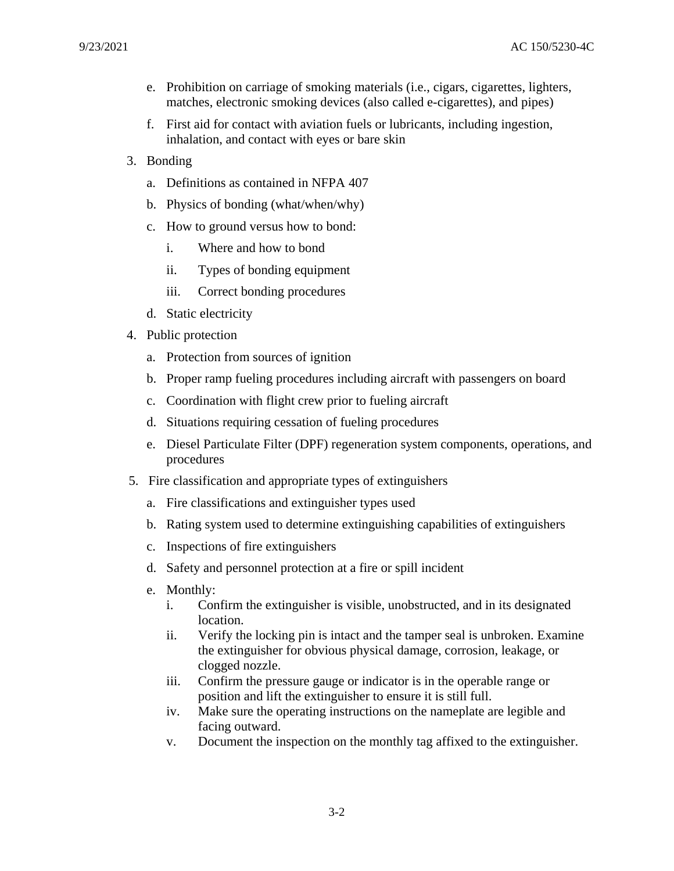- e. Prohibition on carriage of smoking materials (i.e., cigars, cigarettes, lighters, matches, electronic smoking devices (also called e-cigarettes), and pipes)
- f. First aid for contact with aviation fuels or lubricants, including ingestion, inhalation, and contact with eyes or bare skin
- 3. Bonding
	- a. Definitions as contained in NFPA 407
	- b. Physics of bonding (what/when/why)
	- c. How to ground versus how to bond:
		- i. Where and how to bond
		- ii. Types of bonding equipment
		- iii. Correct bonding procedures
	- d. Static electricity
- 4. Public protection
	- a. Protection from sources of ignition
	- b. Proper ramp fueling procedures including aircraft with passengers on board
	- c. Coordination with flight crew prior to fueling aircraft
	- d. Situations requiring cessation of fueling procedures
	- e. Diesel Particulate Filter (DPF) regeneration system components, operations, and procedures
- 5. Fire classification and appropriate types of extinguishers
	- a. Fire classifications and extinguisher types used
	- b. Rating system used to determine extinguishing capabilities of extinguishers
	- c. Inspections of fire extinguishers
	- d. Safety and personnel protection at a fire or spill incident
	- e. Monthly:
		- i. Confirm the extinguisher is visible, unobstructed, and in its designated location.
		- ii. Verify the locking pin is intact and the tamper seal is unbroken. Examine the extinguisher for obvious physical damage, corrosion, leakage, or clogged nozzle.
		- iii. Confirm the pressure gauge or indicator is in the operable range or position and lift the extinguisher to ensure it is still full.
		- iv. Make sure the operating instructions on the nameplate are legible and facing outward.
		- v. Document the inspection on the monthly tag affixed to the extinguisher.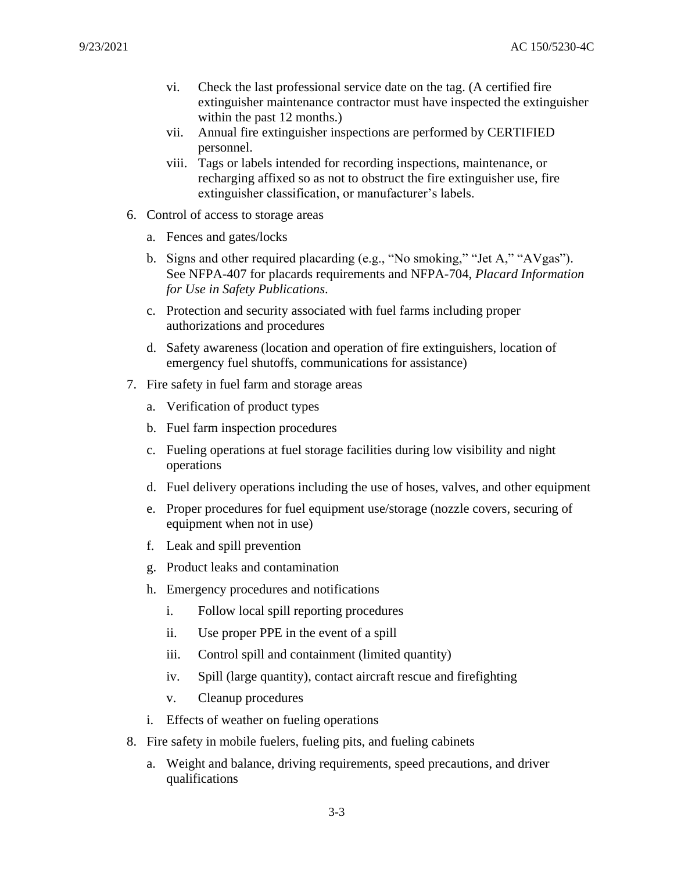- vi. Check the last professional service date on the tag. (A certified fire extinguisher maintenance contractor must have inspected the extinguisher within the past 12 months.)
- vii. Annual fire extinguisher inspections are performed by CERTIFIED personnel.
- viii. Tags or labels intended for recording inspections, maintenance, or recharging affixed so as not to obstruct the fire extinguisher use, fire extinguisher classification, or manufacturer's labels.
- 6. Control of access to storage areas
	- a. Fences and gates/locks
	- b. Signs and other required placarding (e.g., "No smoking," "Jet A," "AVgas"). See NFPA-407 for placards requirements and NFPA-704, *Placard Information for Use in Safety Publications*.
	- c. Protection and security associated with fuel farms including proper authorizations and procedures
	- d. Safety awareness (location and operation of fire extinguishers, location of emergency fuel shutoffs, communications for assistance)
- 7. Fire safety in fuel farm and storage areas
	- a. Verification of product types
	- b. Fuel farm inspection procedures
	- c. Fueling operations at fuel storage facilities during low visibility and night operations
	- d. Fuel delivery operations including the use of hoses, valves, and other equipment
	- e. Proper procedures for fuel equipment use/storage (nozzle covers, securing of equipment when not in use)
	- f. Leak and spill prevention
	- g. Product leaks and contamination
	- h. Emergency procedures and notifications
		- i. Follow local spill reporting procedures
		- ii. Use proper PPE in the event of a spill
		- iii. Control spill and containment (limited quantity)
		- iv. Spill (large quantity), contact aircraft rescue and firefighting
		- v. Cleanup procedures
	- i. Effects of weather on fueling operations
- 8. Fire safety in mobile fuelers, fueling pits, and fueling cabinets
	- a. Weight and balance, driving requirements, speed precautions, and driver qualifications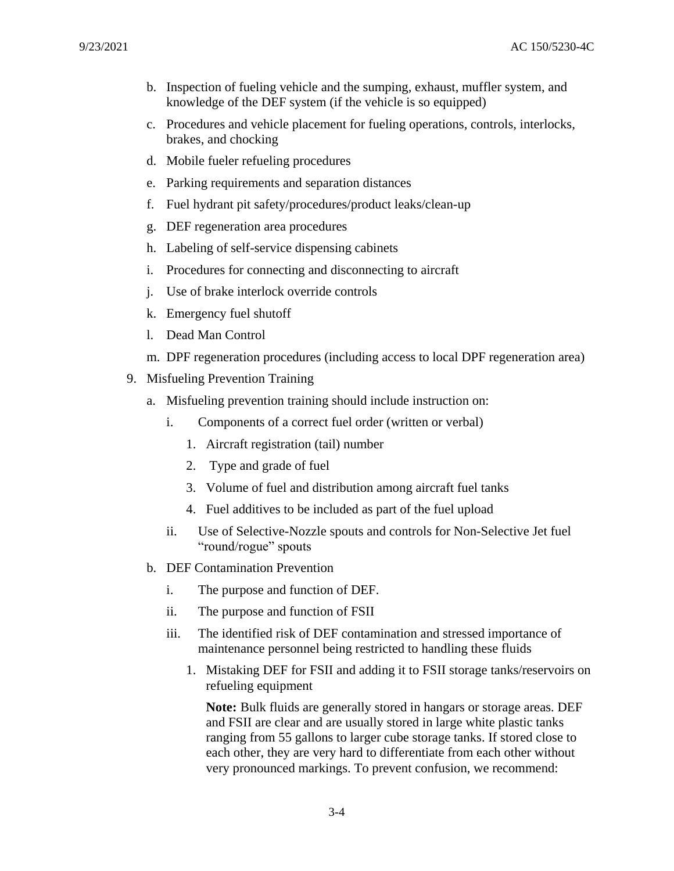- b. Inspection of fueling vehicle and the sumping, exhaust, muffler system, and knowledge of the DEF system (if the vehicle is so equipped)
- c. Procedures and vehicle placement for fueling operations, controls, interlocks, brakes, and chocking
- d. Mobile fueler refueling procedures
- e. Parking requirements and separation distances
- f. Fuel hydrant pit safety/procedures/product leaks/clean-up
- g. DEF regeneration area procedures
- h. Labeling of self-service dispensing cabinets
- i. Procedures for connecting and disconnecting to aircraft
- j. Use of brake interlock override controls
- k. Emergency fuel shutoff
- l. Dead Man Control
- m. DPF regeneration procedures (including access to local DPF regeneration area)
- 9. Misfueling Prevention Training
	- a. Misfueling prevention training should include instruction on:
		- i. Components of a correct fuel order (written or verbal)
			- 1. Aircraft registration (tail) number
			- 2. Type and grade of fuel
			- 3. Volume of fuel and distribution among aircraft fuel tanks
			- 4. Fuel additives to be included as part of the fuel upload
		- ii. Use of Selective-Nozzle spouts and controls for Non-Selective Jet fuel "round/rogue" spouts
	- b. DEF Contamination Prevention
		- i. The purpose and function of DEF.
		- ii. The purpose and function of FSII
		- iii. The identified risk of DEF contamination and stressed importance of maintenance personnel being restricted to handling these fluids
			- 1. Mistaking DEF for FSII and adding it to FSII storage tanks/reservoirs on refueling equipment

**Note:** Bulk fluids are generally stored in hangars or storage areas. DEF and FSII are clear and are usually stored in large white plastic tanks ranging from 55 gallons to larger cube storage tanks. If stored close to each other, they are very hard to differentiate from each other without very pronounced markings. To prevent confusion, we recommend: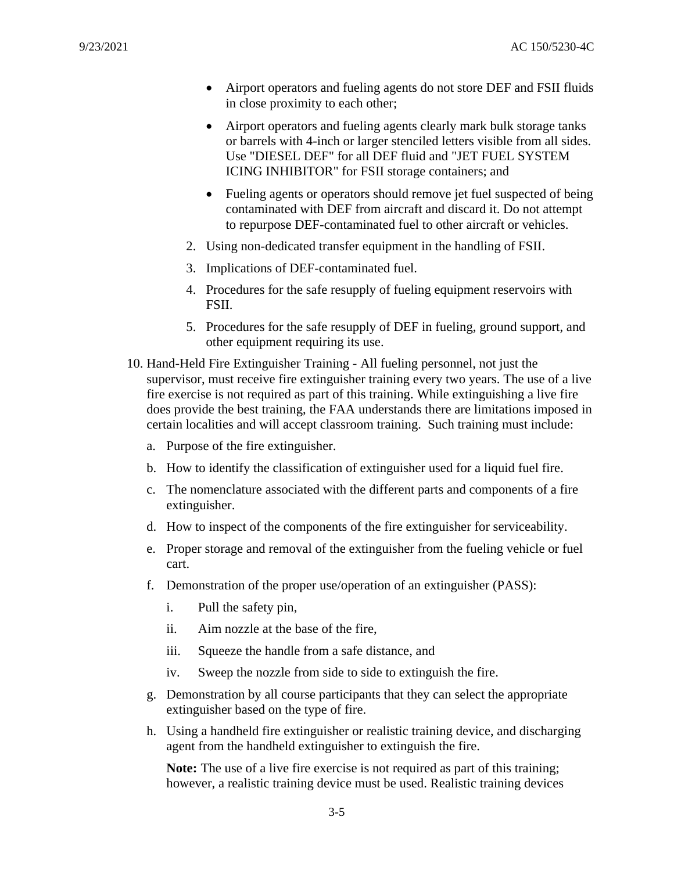- Airport operators and fueling agents do not store DEF and FSII fluids in close proximity to each other;
- Airport operators and fueling agents clearly mark bulk storage tanks or barrels with 4-inch or larger stenciled letters visible from all sides. Use "DIESEL DEF" for all DEF fluid and "JET FUEL SYSTEM ICING INHIBITOR" for FSII storage containers; and
- Fueling agents or operators should remove jet fuel suspected of being contaminated with DEF from aircraft and discard it. Do not attempt to repurpose DEF-contaminated fuel to other aircraft or vehicles.
- 2. Using non-dedicated transfer equipment in the handling of FSII.
- 3. Implications of DEF-contaminated fuel.
- 4. Procedures for the safe resupply of fueling equipment reservoirs with FSII.
- 5. Procedures for the safe resupply of DEF in fueling, ground support, and other equipment requiring its use.
- 10. Hand-Held Fire Extinguisher Training All fueling personnel, not just the supervisor, must receive fire extinguisher training every two years. The use of a live fire exercise is not required as part of this training. While extinguishing a live fire does provide the best training, the FAA understands there are limitations imposed in certain localities and will accept classroom training. Such training must include:
	- a. Purpose of the fire extinguisher.
	- b. How to identify the classification of extinguisher used for a liquid fuel fire.
	- c. The nomenclature associated with the different parts and components of a fire extinguisher.
	- d. How to inspect of the components of the fire extinguisher for serviceability.
	- e. Proper storage and removal of the extinguisher from the fueling vehicle or fuel cart.
	- f. Demonstration of the proper use/operation of an extinguisher (PASS):
		- i. Pull the safety pin,
		- ii. Aim nozzle at the base of the fire,
		- iii. Squeeze the handle from a safe distance, and
		- iv. Sweep the nozzle from side to side to extinguish the fire.
	- g. Demonstration by all course participants that they can select the appropriate extinguisher based on the type of fire.
	- h. Using a handheld fire extinguisher or realistic training device, and discharging agent from the handheld extinguisher to extinguish the fire.

**Note:** The use of a live fire exercise is not required as part of this training; however, a realistic training device must be used. Realistic training devices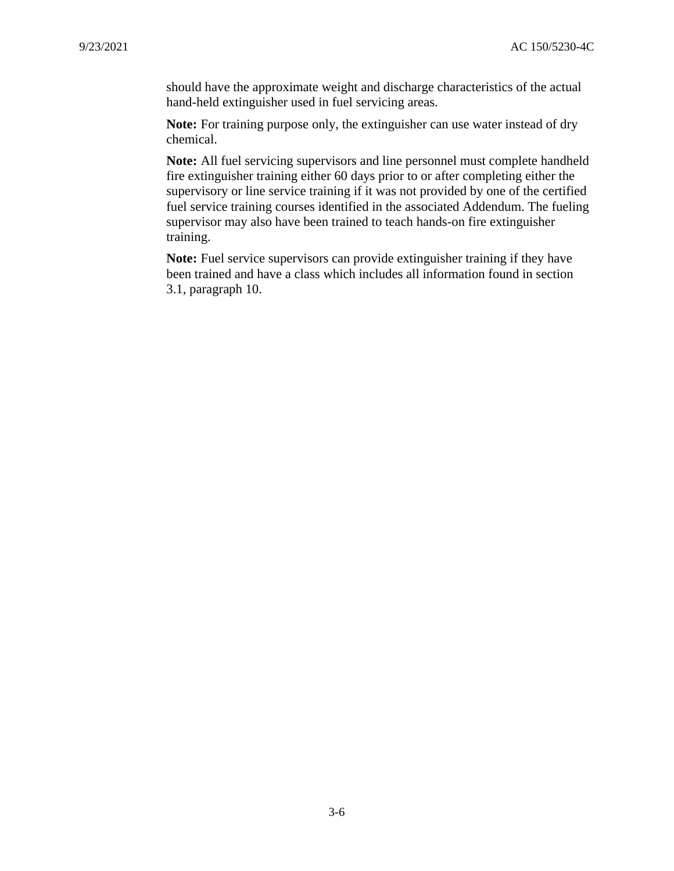should have the approximate weight and discharge characteristics of the actual hand-held extinguisher used in fuel servicing areas.

**Note:** For training purpose only, the extinguisher can use water instead of dry chemical.

**Note:** All fuel servicing supervisors and line personnel must complete handheld fire extinguisher training either 60 days prior to or after completing either the supervisory or line service training if it was not provided by one of the certified fuel service training courses identified in the associated Addendum. The fueling supervisor may also have been trained to teach hands-on fire extinguisher training.

**Note:** Fuel service supervisors can provide extinguisher training if they have been trained and have a class which includes all information found in section 3.1, paragraph 10.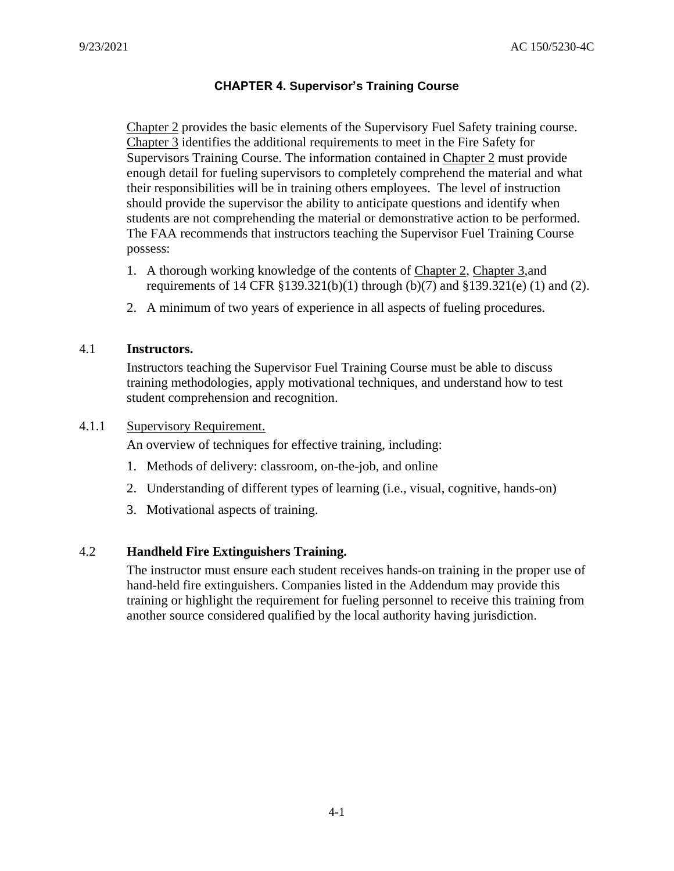# **CHAPTER 4. Supervisor's Training Course**

<span id="page-18-0"></span>[Chapter](#page-8-0) 2 provides the basic elements of the Supervisory Fuel Safety training course. [Chapter](#page-12-0) 3 identifies the additional requirements to meet in the Fire Safety for Supervisors Training Course. The information contained in [Chapter](#page-8-0) 2 must provide enough detail for fueling supervisors to completely comprehend the material and what their responsibilities will be in training others employees. The level of instruction should provide the supervisor the ability to anticipate questions and identify when students are not comprehending the material or demonstrative action to be performed. The FAA recommends that instructors teaching the Supervisor Fuel Training Course possess:

- 1. A thorough working knowledge of the contents of [Chapter](#page-8-0) 2, [Chapter](#page-12-0) 3,and requirements of 14 CFR §139.321(b)(1) through (b)(7) and §139.321(e) (1) and (2).
- 2. A minimum of two years of experience in all aspects of fueling procedures.

#### <span id="page-18-1"></span>4.1 **Instructors.**

Instructors teaching the Supervisor Fuel Training Course must be able to discuss training methodologies, apply motivational techniques, and understand how to test student comprehension and recognition.

#### 4.1.1 Supervisory Requirement.

An overview of techniques for effective training, including:

- 1. Methods of delivery: classroom, on-the-job, and online
- 2. Understanding of different types of learning (i.e., visual, cognitive, hands-on)
- 3. Motivational aspects of training.

### <span id="page-18-2"></span>4.2 **Handheld Fire Extinguishers Training.**

The instructor must ensure each student receives hands-on training in the proper use of hand-held fire extinguishers. Companies listed in the Addendum may provide this training or highlight the requirement for fueling personnel to receive this training from another source considered qualified by the local authority having jurisdiction.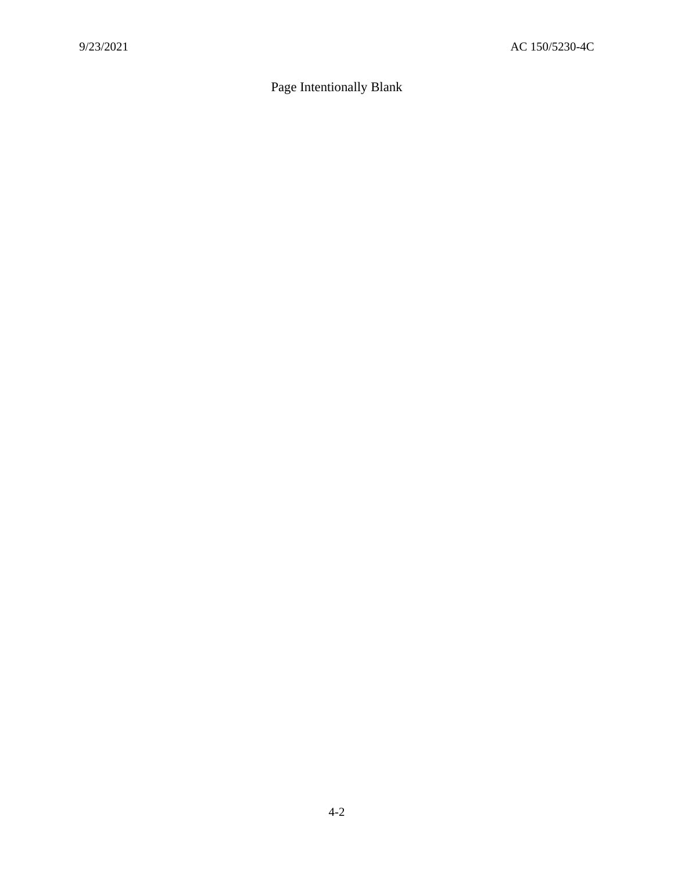# Page Intentionally Blank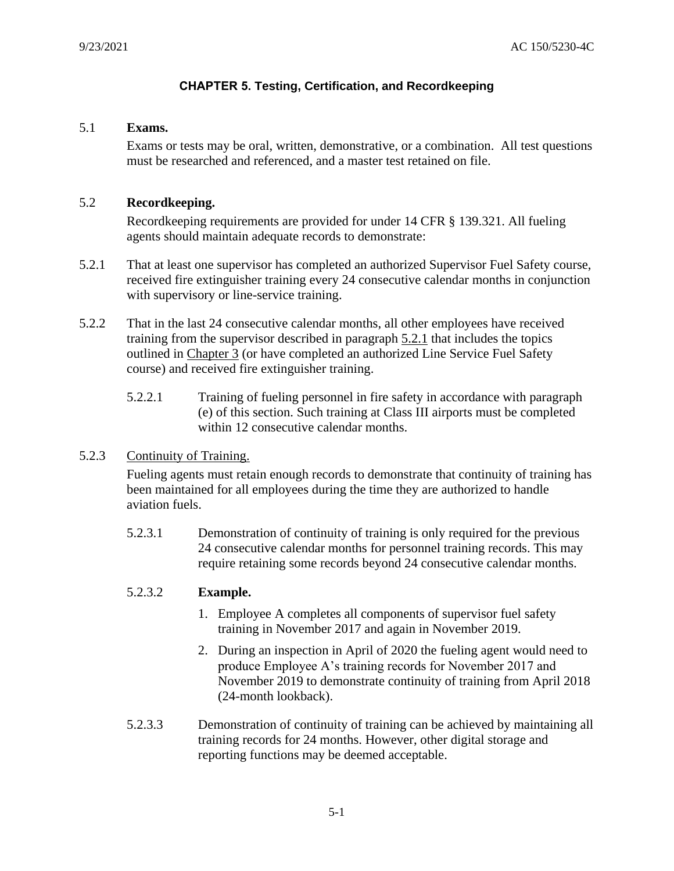# **CHAPTER 5. Testing, Certification, and Recordkeeping**

# <span id="page-20-1"></span><span id="page-20-0"></span>5.1 **Exams.**

Exams or tests may be oral, written, demonstrative, or a combination. All test questions must be researched and referenced, and a master test retained on file.

# <span id="page-20-2"></span>5.2 **Recordkeeping.**

Recordkeeping requirements are provided for under 14 CFR § 139.321. All fueling agents should maintain adequate records to demonstrate:

- <span id="page-20-3"></span>5.2.1 That at least one supervisor has completed an authorized Supervisor Fuel Safety course, received fire extinguisher training every 24 consecutive calendar months in conjunction with supervisory or line-service training.
- 5.2.2 That in the last 24 consecutive calendar months, all other employees have received training from the supervisor described in paragraph [5.2.1](#page-20-3) that includes the topics outlined in [Chapter](#page-12-0) 3 (or have completed an authorized Line Service Fuel Safety course) and received fire extinguisher training.
	- 5.2.2.1 Training of fueling personnel in fire safety in accordance with paragraph (e) of this section. Such training at Class III airports must be completed within 12 consecutive calendar months.

### 5.2.3 Continuity of Training.

Fueling agents must retain enough records to demonstrate that continuity of training has been maintained for all employees during the time they are authorized to handle aviation fuels.

5.2.3.1 Demonstration of continuity of training is only required for the previous 24 consecutive calendar months for personnel training records. This may require retaining some records beyond 24 consecutive calendar months.

# 5.2.3.2 **Example.**

- 1. Employee A completes all components of supervisor fuel safety training in November 2017 and again in November 2019.
- 2. During an inspection in April of 2020 the fueling agent would need to produce Employee A's training records for November 2017 and November 2019 to demonstrate continuity of training from April 2018 (24-month lookback).
- 5.2.3.3 Demonstration of continuity of training can be achieved by maintaining all training records for 24 months. However, other digital storage and reporting functions may be deemed acceptable.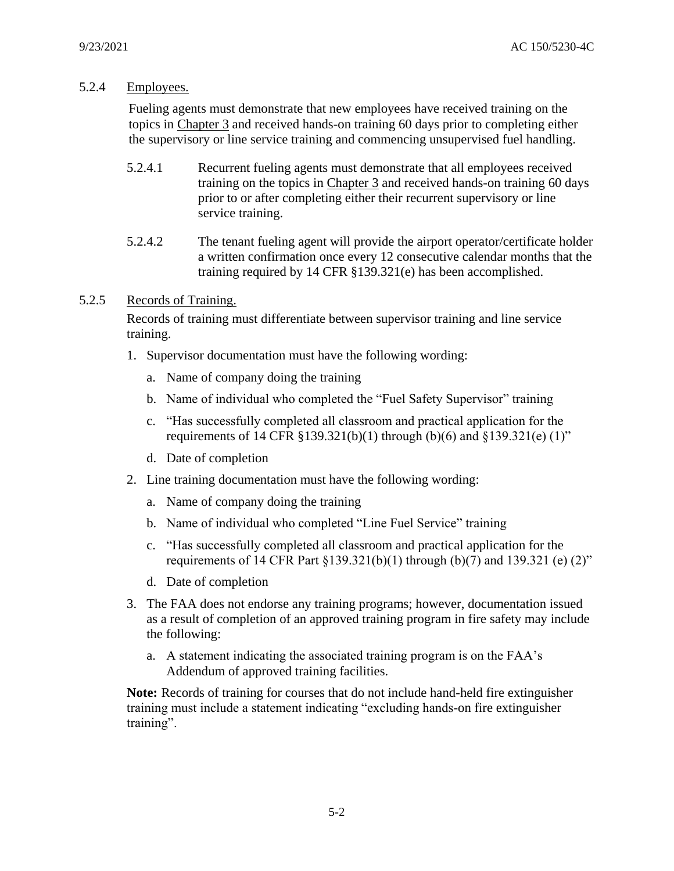# 5.2.4 Employees.

Fueling agents must demonstrate that new employees have received training on the topics in [Chapter](#page-12-0) 3 and received hands-on training 60 days prior to completing either the supervisory or line service training and commencing unsupervised fuel handling.

- 5.2.4.1 Recurrent fueling agents must demonstrate that all employees received training on the topics in [Chapter](#page-12-0) 3 and received hands-on training 60 days prior to or after completing either their recurrent supervisory or line service training.
- 5.2.4.2 The tenant fueling agent will provide the airport operator/certificate holder a written confirmation once every 12 consecutive calendar months that the training required by 14 CFR §139.321(e) has been accomplished.

# 5.2.5 Records of Training.

Records of training must differentiate between supervisor training and line service training.

- 1. Supervisor documentation must have the following wording:
	- a. Name of company doing the training
	- b. Name of individual who completed the "Fuel Safety Supervisor" training
	- c. "Has successfully completed all classroom and practical application for the requirements of 14 CFR §139.321(b)(1) through (b)(6) and §139.321(e) (1)"
	- d. Date of completion
- 2. Line training documentation must have the following wording:
	- a. Name of company doing the training
	- b. Name of individual who completed "Line Fuel Service" training
	- c. "Has successfully completed all classroom and practical application for the requirements of 14 CFR Part §139.321(b)(1) through (b)(7) and 139.321 (e) (2)"
	- d. Date of completion
- 3. The FAA does not endorse any training programs; however, documentation issued as a result of completion of an approved training program in fire safety may include the following:
	- a. A statement indicating the associated training program is on the FAA's Addendum of approved training facilities.

**Note:** Records of training for courses that do not include hand-held fire extinguisher training must include a statement indicating "excluding hands-on fire extinguisher training".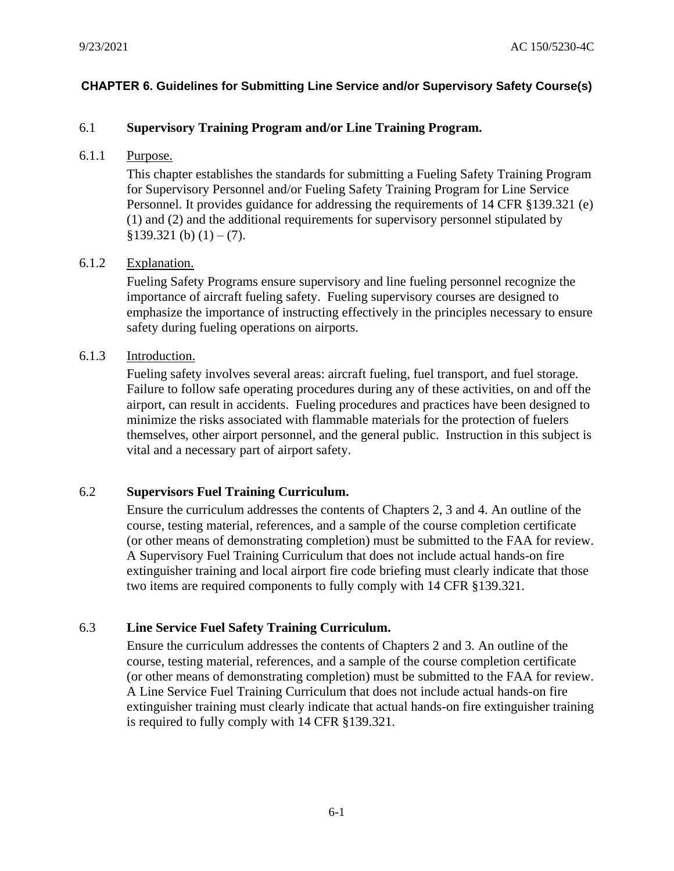# <span id="page-22-0"></span>**CHAPTER 6. Guidelines for Submitting Line Service and/or Supervisory Safety Course(s)**

# <span id="page-22-1"></span>6.1 **Supervisory Training Program and/or Line Training Program.**

### 6.1.1 Purpose.

This chapter establishes the standards for submitting a Fueling Safety Training Program for Supervisory Personnel and/or Fueling Safety Training Program for Line Service Personnel. It provides guidance for addressing the requirements of 14 CFR §139.321 (e) (1) and (2) and the additional requirements for supervisory personnel stipulated by  $$139.321$  (b)  $(1) - (7)$ .

### 6.1.2 Explanation.

Fueling Safety Programs ensure supervisory and line fueling personnel recognize the importance of aircraft fueling safety. Fueling supervisory courses are designed to emphasize the importance of instructing effectively in the principles necessary to ensure safety during fueling operations on airports.

### 6.1.3 Introduction.

Fueling safety involves several areas: aircraft fueling, fuel transport, and fuel storage. Failure to follow safe operating procedures during any of these activities, on and off the airport, can result in accidents. Fueling procedures and practices have been designed to minimize the risks associated with flammable materials for the protection of fuelers themselves, other airport personnel, and the general public. Instruction in this subject is vital and a necessary part of airport safety.

# <span id="page-22-2"></span>6.2 **Supervisors Fuel Training Curriculum.**

Ensure the curriculum addresses the contents of Chapters 2, 3 and 4. An outline of the course, testing material, references, and a sample of the course completion certificate (or other means of demonstrating completion) must be submitted to the FAA for review. A Supervisory Fuel Training Curriculum that does not include actual hands-on fire extinguisher training and local airport fire code briefing must clearly indicate that those two items are required components to fully comply with 14 CFR §139.321.

# <span id="page-22-3"></span>6.3 **Line Service Fuel Safety Training Curriculum.**

Ensure the curriculum addresses the contents of Chapters 2 and 3. An outline of the course, testing material, references, and a sample of the course completion certificate (or other means of demonstrating completion) must be submitted to the FAA for review. A Line Service Fuel Training Curriculum that does not include actual hands-on fire extinguisher training must clearly indicate that actual hands-on fire extinguisher training is required to fully comply with 14 CFR §139.321.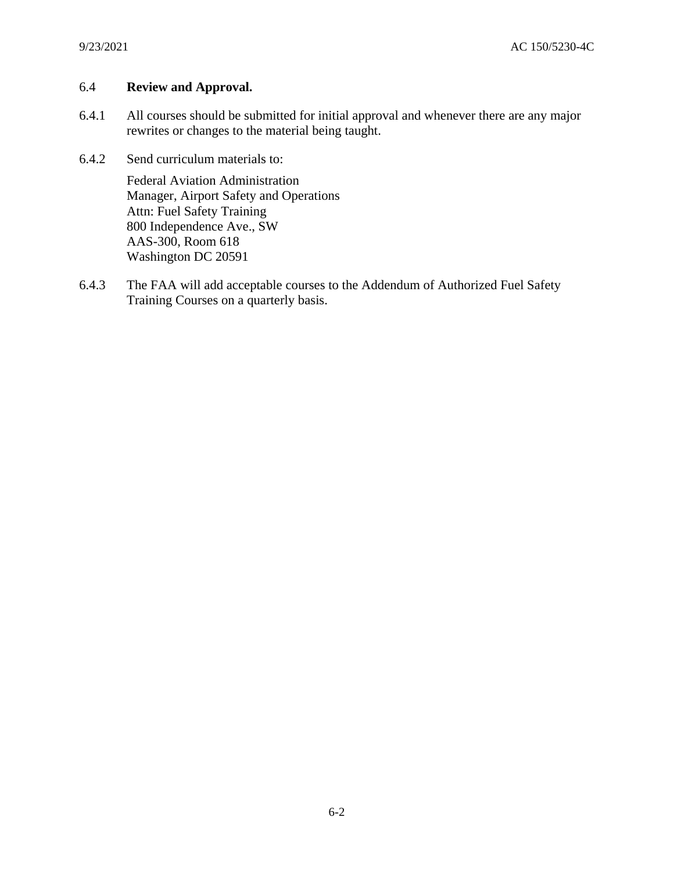# <span id="page-23-0"></span>6.4 **Review and Approval.**

- 6.4.1 All courses should be submitted for initial approval and whenever there are any major rewrites or changes to the material being taught.
- 6.4.2 Send curriculum materials to:

Federal Aviation Administration Manager, Airport Safety and Operations Attn: Fuel Safety Training 800 Independence Ave., SW AAS-300, Room 618 Washington DC 20591

6.4.3 The FAA will add acceptable courses to the Addendum of Authorized Fuel Safety Training Courses on a quarterly basis.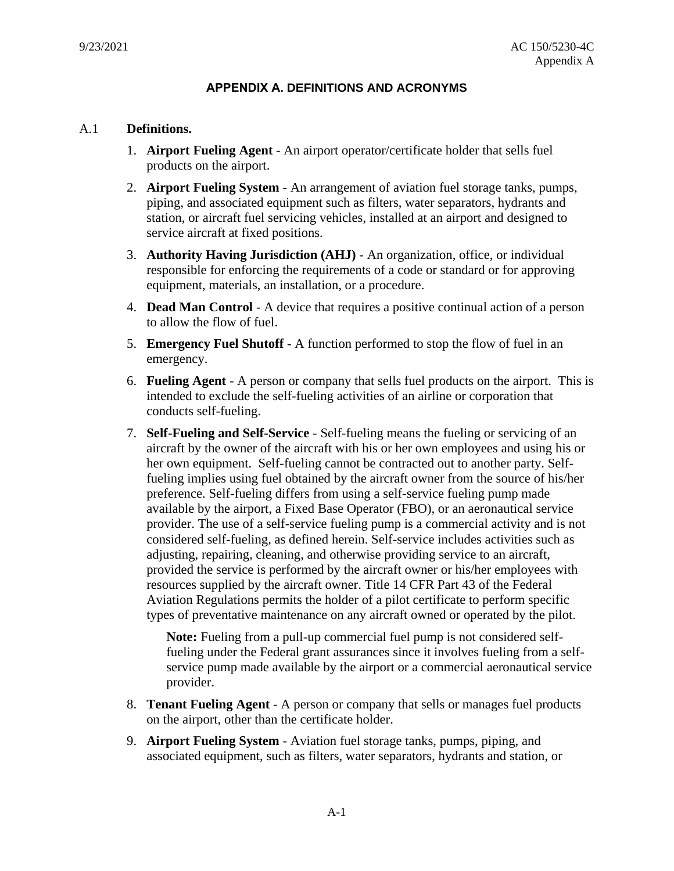# **APPENDIX A. DEFINITIONS AND ACRONYMS**

### <span id="page-24-1"></span><span id="page-24-0"></span>A.1 **Definitions.**

- 1. **Airport Fueling Agent** An airport operator/certificate holder that sells fuel products on the airport.
- 2. **Airport Fueling System** An arrangement of aviation fuel storage tanks, pumps, piping, and associated equipment such as filters, water separators, hydrants and station, or aircraft fuel servicing vehicles, installed at an airport and designed to service aircraft at fixed positions.
- 3. **Authority Having Jurisdiction (AHJ)** An organization, office, or individual responsible for enforcing the requirements of a code or standard or for approving equipment, materials, an installation, or a procedure.
- 4. **Dead Man Control** A device that requires a positive continual action of a person to allow the flow of fuel.
- 5. **Emergency Fuel Shutoff** A function performed to stop the flow of fuel in an emergency.
- 6. **Fueling Agent**  A person or company that sells fuel products on the airport. This is intended to exclude the self-fueling activities of an airline or corporation that conducts self-fueling.
- 7. **Self-Fueling and Self-Service** Self-fueling means the fueling or servicing of an aircraft by the owner of the aircraft with his or her own employees and using his or her own equipment. Self-fueling cannot be contracted out to another party. Selffueling implies using fuel obtained by the aircraft owner from the source of his/her preference. Self-fueling differs from using a self-service fueling pump made available by the airport, a Fixed Base Operator (FBO), or an aeronautical service provider. The use of a self-service fueling pump is a commercial activity and is not considered self-fueling, as defined herein. Self-service includes activities such as adjusting, repairing, cleaning, and otherwise providing service to an aircraft, provided the service is performed by the aircraft owner or his/her employees with resources supplied by the aircraft owner. Title 14 CFR Part 43 of the Federal Aviation Regulations permits the holder of a pilot certificate to perform specific types of preventative maintenance on any aircraft owned or operated by the pilot.

**Note:** Fueling from a pull-up commercial fuel pump is not considered selffueling under the Federal grant assurances since it involves fueling from a selfservice pump made available by the airport or a commercial aeronautical service provider.

- 8. **Tenant Fueling Agent**  A person or company that sells or manages fuel products on the airport, other than the certificate holder.
- 9. **Airport Fueling System** Aviation fuel storage tanks, pumps, piping, and associated equipment, such as filters, water separators, hydrants and station, or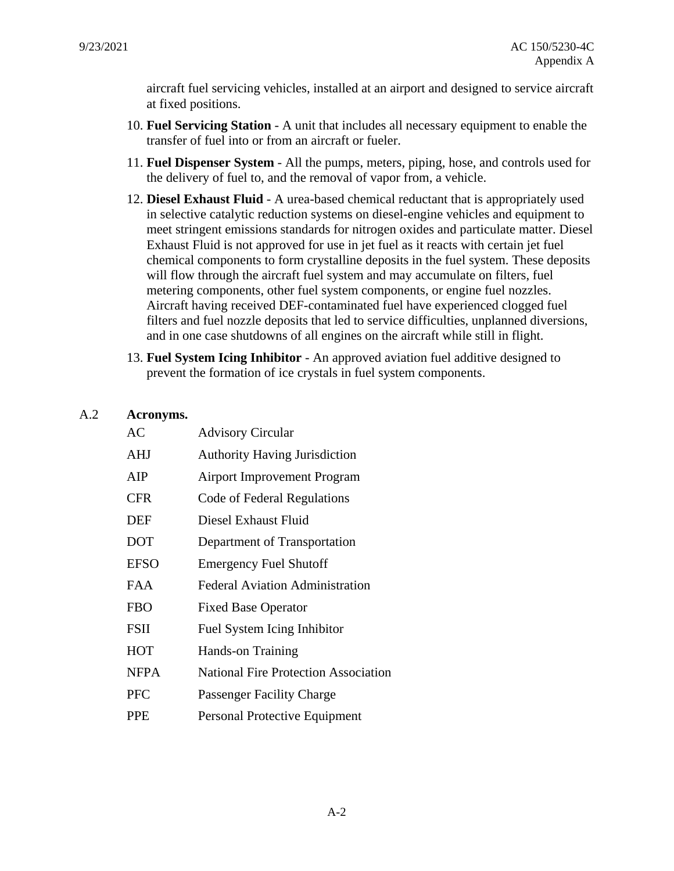aircraft fuel servicing vehicles, installed at an airport and designed to service aircraft at fixed positions.

- 10. **Fuel Servicing Station** A unit that includes all necessary equipment to enable the transfer of fuel into or from an aircraft or fueler.
- 11. **Fuel Dispenser System** All the pumps, meters, piping, hose, and controls used for the delivery of fuel to, and the removal of vapor from, a vehicle.
- 12. **Diesel Exhaust Fluid** A urea-based chemical reductant that is appropriately used in selective catalytic reduction systems on diesel-engine vehicles and equipment to meet stringent emissions standards for nitrogen oxides and particulate matter. Diesel Exhaust Fluid is not approved for use in jet fuel as it reacts with certain jet fuel chemical components to form crystalline deposits in the fuel system. These deposits will flow through the aircraft fuel system and may accumulate on filters, fuel metering components, other fuel system components, or engine fuel nozzles. Aircraft having received DEF-contaminated fuel have experienced clogged fuel filters and fuel nozzle deposits that led to service difficulties, unplanned diversions, and in one case shutdowns of all engines on the aircraft while still in flight.
- 13. **Fuel System Icing Inhibitor** An approved aviation fuel additive designed to prevent the formation of ice crystals in fuel system components.

### <span id="page-25-0"></span>A.2 **Acronyms.**

| AC         | <b>Advisory Circular</b>                    |
|------------|---------------------------------------------|
| AHJ        | <b>Authority Having Jurisdiction</b>        |
| AIP        | <b>Airport Improvement Program</b>          |
| <b>CFR</b> | Code of Federal Regulations                 |
| DEF        | Diesel Exhaust Fluid                        |
| DOT        | Department of Transportation                |
| EFSO       | <b>Emergency Fuel Shutoff</b>               |
| FAA        | <b>Federal Aviation Administration</b>      |
| FBO        | <b>Fixed Base Operator</b>                  |
| FSII       | Fuel System Icing Inhibitor                 |
| HOT        | Hands-on Training                           |
| NFPA       | <b>National Fire Protection Association</b> |
| PFC        | <b>Passenger Facility Charge</b>            |
| PPE        | Personal Protective Equipment               |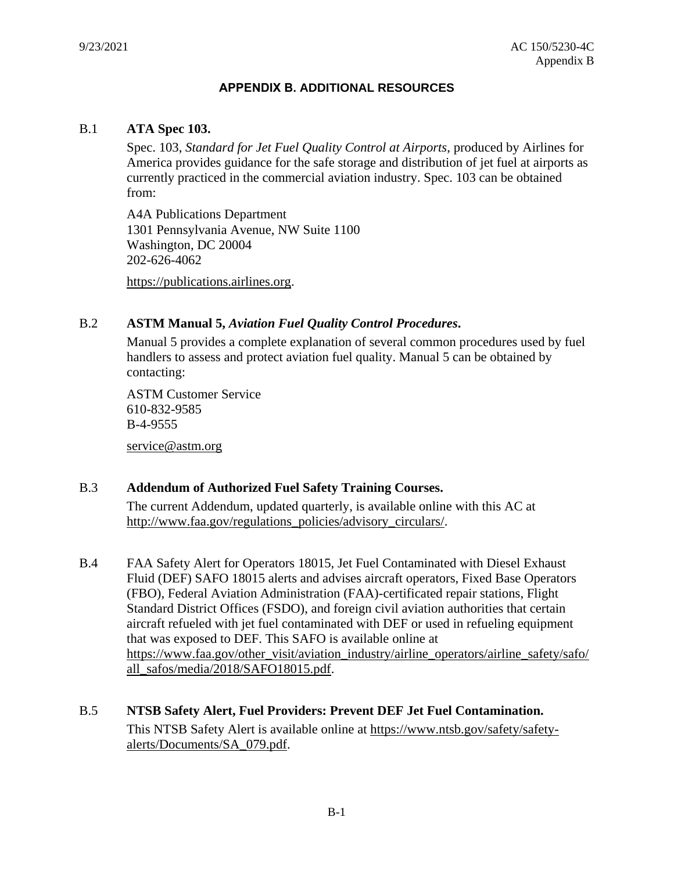# **APPENDIX B. ADDITIONAL RESOURCES**

### <span id="page-26-1"></span><span id="page-26-0"></span>B.1 **ATA Spec 103.**

Spec. 103, *Standard for Jet Fuel Quality Control at Airports*, produced by Airlines for America provides guidance for the safe storage and distribution of jet fuel at airports as currently practiced in the commercial aviation industry. Spec. 103 can be obtained from:

A4A Publications Department 1301 Pennsylvania Avenue, NW Suite 1100 Washington, DC 20004 202-626-4062

[https://publications.airlines.org.](https://publications.airlines.org/)

### <span id="page-26-2"></span>B.2 **ASTM Manual 5,** *Aviation Fuel Quality Control Procedures***.**

Manual 5 provides a complete explanation of several common procedures used by fuel handlers to assess and protect aviation fuel quality. Manual 5 can be obtained by contacting:

ASTM Customer Service 610-832-9585 B-4-9555

[service@astm.org](mailto:service@astm.org)

#### <span id="page-26-3"></span>B.3 **Addendum of Authorized Fuel Safety Training Courses.**

The current Addendum, updated quarterly, is available online with this AC at [http://www.faa.gov/regulations\\_policies/advisory\\_circulars/.](http://www.faa.gov/regulations_policies/advisory_circulars/)

B.4 FAA Safety Alert for Operators 18015, Jet Fuel Contaminated with Diesel Exhaust Fluid (DEF) SAFO 18015 alerts and advises aircraft operators, Fixed Base Operators (FBO), Federal Aviation Administration (FAA)-certificated repair stations, Flight Standard District Offices (FSDO), and foreign civil aviation authorities that certain aircraft refueled with jet fuel contaminated with DEF or used in refueling equipment that was exposed to DEF. This SAFO is available online at [https://www.faa.gov/other\\_visit/aviation\\_industry/airline\\_operators/airline\\_safety/safo/](https://www.faa.gov/other_visit/aviation_industry/airline_operators/airline_safety/safo/all_safos/media/2018/SAFO18015.pdf) [all\\_safos/media/2018/SAFO18015.pdf.](https://www.faa.gov/other_visit/aviation_industry/airline_operators/airline_safety/safo/all_safos/media/2018/SAFO18015.pdf)

# <span id="page-26-4"></span>B.5 **NTSB Safety Alert, Fuel Providers: Prevent DEF Jet Fuel Contamination.** This NTSB Safety Alert is available online at [https://www.ntsb.gov/safety/safety](https://www.ntsb.gov/safety/safety-alerts/Documents/SA_079.pdf)[alerts/Documents/SA\\_079.pdf.](https://www.ntsb.gov/safety/safety-alerts/Documents/SA_079.pdf)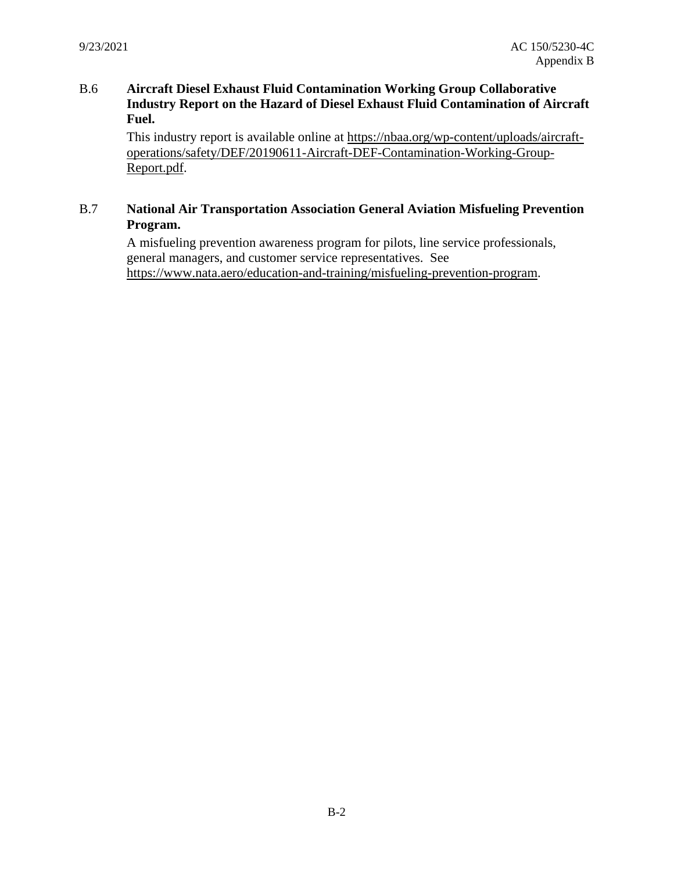### <span id="page-27-0"></span>B.6 **Aircraft Diesel Exhaust Fluid Contamination Working Group Collaborative Industry Report on the Hazard of Diesel Exhaust Fluid Contamination of Aircraft Fuel.**

This industry report is available online at [https://nbaa.org/wp-content/uploads/aircraft](https://nbaa.org/wp-content/uploads/aircraft-operations/safety/DEF/20190611-Aircraft-DEF-Contamination-Working-Group-Report.pdf)[operations/safety/DEF/20190611-Aircraft-DEF-Contamination-Working-Group-](https://nbaa.org/wp-content/uploads/aircraft-operations/safety/DEF/20190611-Aircraft-DEF-Contamination-Working-Group-Report.pdf)[Report.pdf.](https://nbaa.org/wp-content/uploads/aircraft-operations/safety/DEF/20190611-Aircraft-DEF-Contamination-Working-Group-Report.pdf)

# <span id="page-27-1"></span>B.7 **National Air Transportation Association General Aviation Misfueling Prevention Program.**

A misfueling prevention awareness program for pilots, line service professionals, general managers, and customer service representatives. See [https://www.nata.aero/education-and-training/misfueling-prevention-program.](https://www.nata.aero/education-and-training/misfueling-prevention-program)